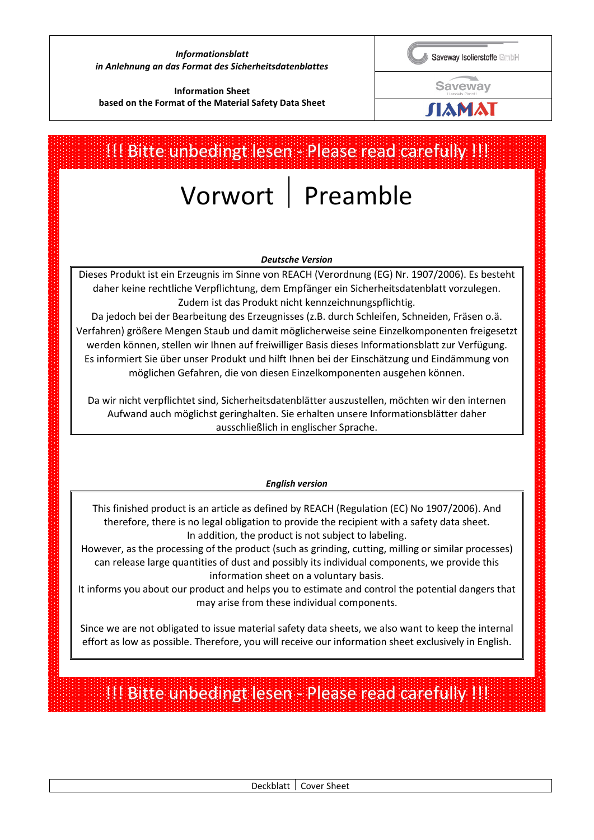#### *Informationsblatt in Anlehnung an das Format des Sicherheitsdatenblattes*

Saveway Isolierstoffe GmbH

**Saveway** 

ЛАМАІ

# **Information Sheet based on the Format of the Material Safety Data Sheet**

# Vorwort | Preamble *Deutsche Version*  Dieses Produkt ist ein Erzeugnis im Sinne von REACH (Verordnung (EG) Nr. 1907/2006). Es besteht daher keine rechtliche Verpflichtung, dem Empfänger ein Sicherheitsdatenblatt vorzulegen. Zudem ist das Produkt nicht kennzeichnungspflichtig. Da jedoch bei der Bearbeitung des Erzeugnisses (z.B. durch Schleifen, Schneiden, Fräsen o.ä. Verfahren) größere Mengen Staub und damit möglicherweise seine Einzelkomponenten freigesetzt werden können, stellen wir Ihnen auf freiwilliger Basis dieses Informationsblatt zur Verfügung. Es informiert Sie über unser Produkt und hilft Ihnen bei der Einschätzung und Eindämmung von möglichen Gefahren, die von diesen Einzelkomponenten ausgehen können. Da wir nicht verpflichtet sind, Sicherheitsdatenblätter auszustellen, möchten wir den internen Aufwand auch möglichst geringhalten. Sie erhalten unsere Informationsblätter daher ausschließlich in englischer Sprache. *English version*  This finished product is an article as defined by REACH (Regulation (EC) No 1907/2006). And therefore, there is no legal obligation to provide the recipient with a safety data sheet. In addition, the product is not subject to labeling. However, as the processing of the product (such as grinding, cutting, milling or similar processes) can release large quantities of dust and possibly its individual components, we provide this information sheet on a voluntary basis. It informs you about our product and helps you to estimate and control the potential dangers that may arise from these individual components. Since we are not obligated to issue material safety data sheets, we also want to keep the internal effort as low as possible. Therefore, you will receive our information sheet exclusively in English. !!! Bitte unbedingt lesen - Please read carefully !!! !!! Bitte unbedingt lesen - Please read carefully !!!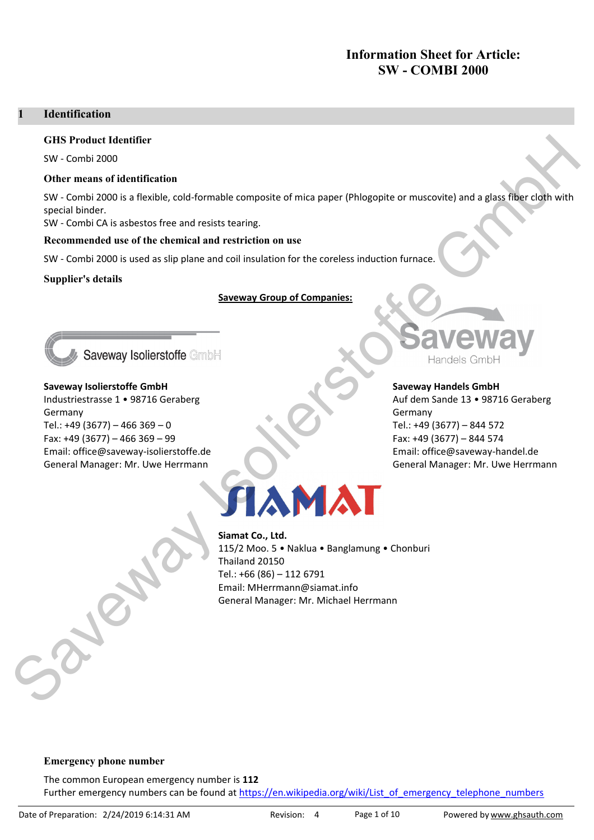# **Information Sheet for Article: SW - COMBI 2000**

#### **Identification** 1

#### **GHS Product Identifier**

SW - Combi 2000

#### Other means of identification

SW - Combi 2000 is a flexible, cold-formable composite of mica paper (Phlogopite or muscovite) and a glass fiber cloth with special binder.

SW - Combi CA is asbestos free and resists tearing.

#### Recommended use of the chemical and restriction on use

SW - Combi 2000 is used as slip plane and coil insulation for the coreless induction furnace.

#### **Supplier's details**

#### **Saveway Group of Companies:**



# Saveway Isolierstoffe GmbH Industriestrasse 1 . 98716 Geraberg Germany

Tel.: +49 (3677) - 466 369 - 0 Fax: +49 (3677) - 466 369 - 99 Email: office@saveway-isolierstoffe.de General Manager: Mr. Uwe Herrmann



#### **Saveway Handels GmbH**

Auf dem Sande 13 · 98716 Geraberg Germany Tel.: +49 (3677) - 844 572 Fax: +49 (3677) - 844 574 Email: office@saveway-handel.de General Manager: Mr. Uwe Herrmann



# Siamat Co., Ltd.

115/2 Moo. 5 . Naklua . Banglamung . Chonburi Thailand 20150 Tel.: +66 (86) - 112 6791 Email: MHerrmann@siamat.info General Manager: Mr. Michael Herrmann

#### **Emergency phone number**

The common European emergency number is 112 Further emergency numbers can be found at https://en.wikipedia.org/wiki/List of emergency telephone numbers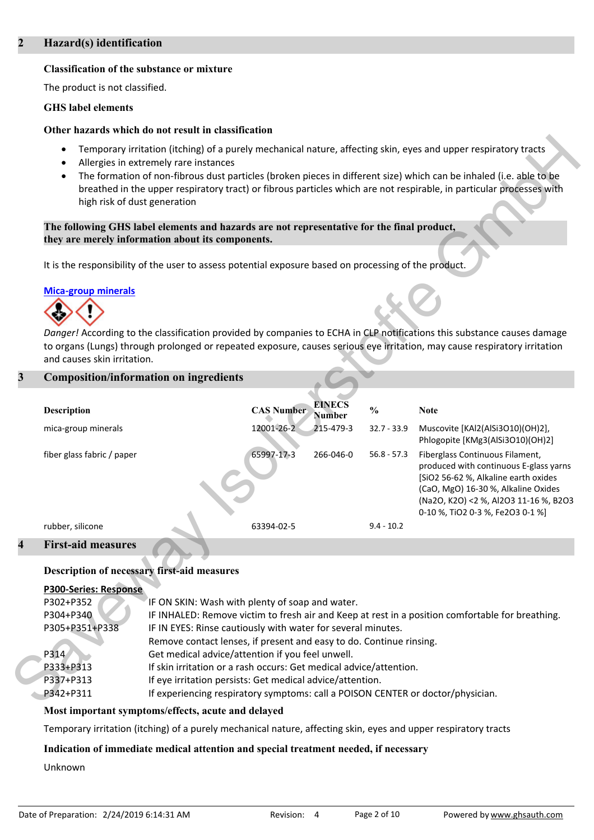### Hazard(s) identification

#### **Classification of the substance or mixture**

The product is not classified.

#### **GHS** label elements

#### Other hazards which do not result in classification

- Temporary irritation (itching) of a purely mechanical nature, affecting skin, eyes and upper respiratory tracts
- Allergies in extremely rare instances
- The formation of non-fibrous dust particles (broken pieces in different size) which can be inhaled (i.e. able to be breathed in the upper respiratory tract) or fibrous particles which are not respirable, in particular processes with high risk of dust generation

The following GHS label elements and hazards are not representative for the final product, they are merely information about its components.

It is the responsibility of the user to assess potential exposure based on processing of the product.

### **Mica-group minerals**



Danger! According to the classification provided by companies to ECHA in CLP notifications this substance causes damage to organs (Lungs) through prolonged or repeated exposure, causes serious eye irritation, may cause respiratory irritation and causes skin irritation.

# **Composition/information on ingredients**

| <b>Description</b>         | <b>CAS Number</b> | <b>EINECS</b><br>Number | $\frac{6}{6}$ | <b>Note</b>                                                                                                                                                                                                                           |
|----------------------------|-------------------|-------------------------|---------------|---------------------------------------------------------------------------------------------------------------------------------------------------------------------------------------------------------------------------------------|
| mica-group minerals        | 12001-26-2        | 215-479-3               | $32.7 - 33.9$ | Muscovite [KAl2(AlSi3O10)(OH)2],<br>Phlogopite [KMg3(AlSi3O10)(OH)2]                                                                                                                                                                  |
| fiber glass fabric / paper | 65997-17-3        | 266-046-0               | $56.8 - 57.3$ | Fiberglass Continuous Filament,<br>produced with continuous E-glass yarns<br>[SiO2 56-62 %, Alkaline earth oxides<br>(CaO, MgO) 16-30 %, Alkaline Oxides<br>(Na2O, K2O) <2 %, Al2O3 11-16 %, B2O3<br>0-10 %, TiO2 0-3 %, Fe2O3 0-1 %] |
| rubber, silicone           | 63394-02-5        |                         | $9.4 - 10.2$  |                                                                                                                                                                                                                                       |
|                            |                   |                         |               |                                                                                                                                                                                                                                       |

#### **First-aid measures**

#### Description of necessary first-aid measures

| <b>P300-Series: Response</b> |                                                                                                  |
|------------------------------|--------------------------------------------------------------------------------------------------|
| P302+P352                    | IF ON SKIN: Wash with plenty of soap and water.                                                  |
| P304+P340                    | IF INHALED: Remove victim to fresh air and Keep at rest in a position comfortable for breathing. |
| P305+P351+P338               | IF IN EYES: Rinse cautiously with water for several minutes.                                     |
|                              | Remove contact lenses, if present and easy to do. Continue rinsing.                              |
| P314                         | Get medical advice/attention if you feel unwell.                                                 |
| P333+P313                    | If skin irritation or a rash occurs: Get medical advice/attention.                               |
| P337+P313                    | If eye irritation persists: Get medical advice/attention.                                        |
| P342+P311                    | If experiencing respiratory symptoms: call a POISON CENTER or doctor/physician.                  |

#### Most important symptoms/effects, acute and delayed

Temporary irritation (itching) of a purely mechanical nature, affecting skin, eyes and upper respiratory tracts

# Indication of immediate medical attention and special treatment needed, if necessary

Unknown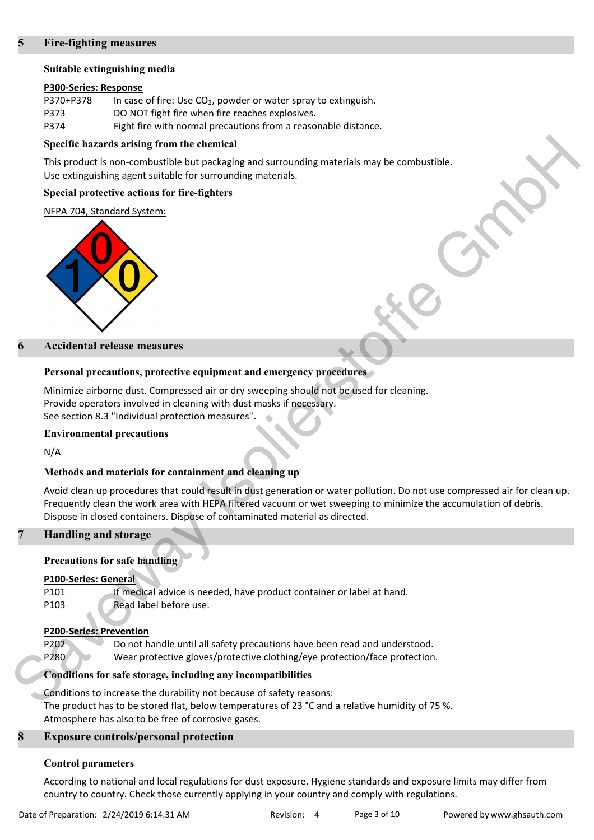#### **Fire-fighting measures**

#### Suitable extinguishing media

#### P300-Series: Response

| P370+P378 | In case of fire: Use $CO2$ , powder or water spray to extinguish. |
|-----------|-------------------------------------------------------------------|
| P373      | DO NOT fight fire when fire reaches explosives.                   |
| P374      | Fight fire with normal precautions from a reasonable distance.    |

#### Specific hazards arising from the chemical

This product is non-combustible but packaging and surrounding materials may be combustible. Use extinguishing agent suitable for surrounding materials.

#### Special protective actions for fire-fighters

#### NFPA 704, Standard System:



#### **Accidental release measures**

### Personal precautions, protective equipment and emergency procedures

Minimize airborne dust. Compressed air or dry sweeping should not be used for cleaning. Provide operators involved in cleaning with dust masks if necessary. See section 8.3 "Individual protection measures".

#### **Environmental precautions**

 $N/A$ 

# Methods and materials for containment and cleaning up

Avoid clean up procedures that could result in dust generation or water pollution. Do not use compressed air for clean up. Frequently clean the work area with HEPA filtered vacuum or wet sweeping to minimize the accumulation of debris. Dispose in closed containers. Dispose of contaminated material as directed.

# **Handling and storage**

# **Precautions for safe handling**

#### **P100-Series: General**

P101 If medical advice is needed, have product container or label at hand. Read label before use. P103

#### **P200-Series: Prevention**

P202 Do not handle until all safety precautions have been read and understood. P280 Wear protective gloves/protective clothing/eye protection/face protection.

# Conditions for safe storage, including any incompatibilities

Conditions to increase the durability not because of safety reasons: The product has to be stored flat, below temperatures of 23 °C and a relative humidity of 75 %. Atmosphere has also to be free of corrosive gases.

#### 8 **Exposure controls/personal protection**

#### **Control parameters**

According to national and local regulations for dust exposure. Hygiene standards and exposure limits may differ from country to country. Check those currently applying in your country and comply with regulations.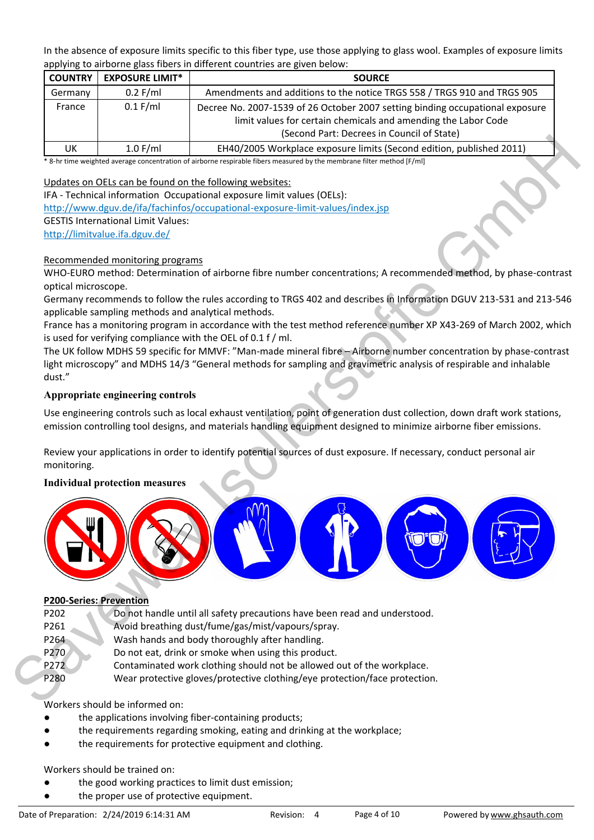In the absence of exposure limits specific to this fiber type, use those applying to glass wool. Examples of exposure limits applying to airborne glass fibers in different countries are given below:

| <b>COUNTRY</b> | <b>EXPOSURE LIMIT*</b> | <b>SOURCE</b>                                                                                                                                                                                 |
|----------------|------------------------|-----------------------------------------------------------------------------------------------------------------------------------------------------------------------------------------------|
| Germany        | $0.2$ F/ml             | Amendments and additions to the notice TRGS 558 / TRGS 910 and TRGS 905                                                                                                                       |
| France         | $0.1$ F/ml             | Decree No. 2007-1539 of 26 October 2007 setting binding occupational exposure<br>limit values for certain chemicals and amending the Labor Code<br>(Second Part: Decrees in Council of State) |
| UK.            | $1.0$ F/ml             | EH40/2005 Workplace exposure limits (Second edition, published 2011)                                                                                                                          |

\* 8-hr time weighted average concentration of airborne respirable fibers measured by the membrane filter method [F/ml]

Updates on OELs can be found on the following websites:

IFA - Technical information Occupational exposure limit values (OELs):

http://www.dguv.de/ifa/fachinfos/occupational-exposure-limit-values/index.jsp

**GESTIS International Limit Values:** 

http://limitvalue.ifa.dguv.de/

### Recommended monitoring programs

WHO-EURO method: Determination of airborne fibre number concentrations; A recommended method, by phase-contrast optical microscope.

Germany recommends to follow the rules according to TRGS 402 and describes in Information DGUV 213-531 and 213-546 applicable sampling methods and analytical methods.

France has a monitoring program in accordance with the test method reference number XP X43-269 of March 2002, which is used for verifying compliance with the OEL of 0.1 f / ml.

The UK follow MDHS 59 specific for MMVF: "Man-made mineral fibre - Airborne number concentration by phase-contrast light microscopy" and MDHS 14/3 "General methods for sampling and gravimetric analysis of respirable and inhalable dust."

# Appropriate engineering controls

Use engineering controls such as local exhaust ventilation, point of generation dust collection, down draft work stations, emission controlling tool designs, and materials handling equipment designed to minimize airborne fiber emissions.

Review your applications in order to identify potential sources of dust exposure. If necessary, conduct personal air monitoring.

# **Individual protection measures**



#### **P200-Series: Prevention**

P272

- P202 Do not handle until all safety precautions have been read and understood.
- Avoid breathing dust/fume/gas/mist/vapours/spray. P261
- P264 Wash hands and body thoroughly after handling.
- P270 Do not eat, drink or smoke when using this product.
	- Contaminated work clothing should not be allowed out of the workplace.
- P280 Wear protective gloves/protective clothing/eye protection/face protection.

#### Workers should be informed on:

- the applications involving fiber-containing products;
- the requirements regarding smoking, eating and drinking at the workplace;
- the requirements for protective equipment and clothing.

# Workers should be trained on:

- the good working practices to limit dust emission;
- the proper use of protective equipment.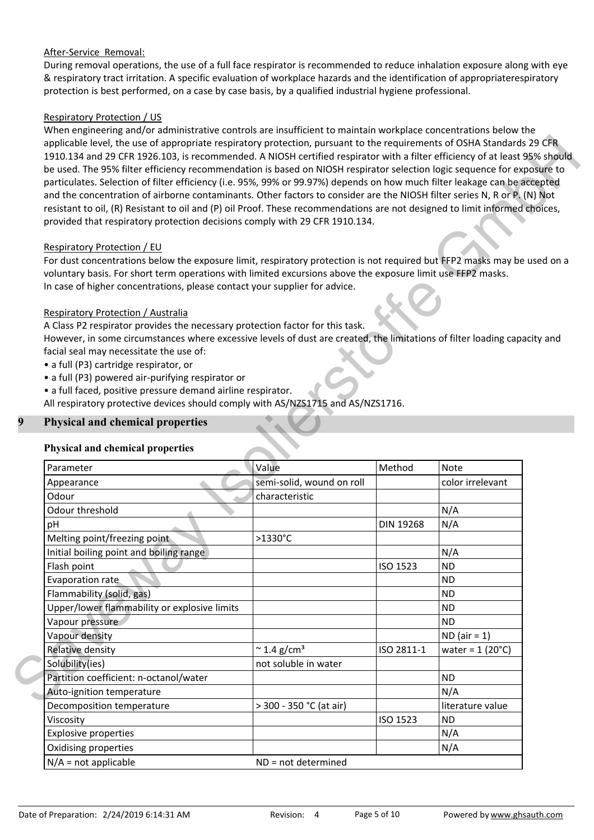# After-Service Removal:

During removal operations, the use of a full face respirator is recommended to reduce inhalation exposure along with eye & respiratory tract irritation. A specific evaluation of workplace hazards and the identification of appropriaterespiratory protection is best performed, on a case by case basis, by a qualified industrial hygiene professional.

# **Respiratory Protection / US**

When engineering and/or administrative controls are insufficient to maintain workplace concentrations below the applicable level, the use of appropriate respiratory protection, pursuant to the requirements of OSHA Standards 29 CFR 1910.134 and 29 CFR 1926.103, is recommended. A NIOSH certified respirator with a filter efficiency of at least 95% should be used. The 95% filter efficiency recommendation is based on NIOSH respirator selection logic sequence for exposure to particulates. Selection of filter efficiency (i.e. 95%, 99% or 99.97%) depends on how much filter leakage can be accepted and the concentration of airborne contaminants. Other factors to consider are the NIOSH filter series N, R or P. (N) Not resistant to oil, (R) Resistant to oil and (P) oil Proof. These recommendations are not designed to limit informed choices, provided that respiratory protection decisions comply with 29 CFR 1910.134.

#### **Respiratory Protection / EU**

For dust concentrations below the exposure limit, respiratory protection is not required but FFP2 masks may be used on a voluntary basis. For short term operations with limited excursions above the exposure limit use FFP2 masks. In case of higher concentrations, please contact your supplier for advice.

### Respiratory Protection / Australia

A Class P2 respirator provides the necessary protection factor for this task.

However, in some circumstances where excessive levels of dust are created, the limitations of filter loading capacity and facial seal may necessitate the use of:

- · a full (P3) cartridge respirator, or
- a full (P3) powered air-purifying respirator or
- a full faced, positive pressure demand airline respirator.

All respiratory protective devices should comply with AS/NZS1715 and AS/NZS1716.

# **Physical and chemical properties**

#### **Physical and chemical properties**

| Parameter                                    | Value                           | Method           | Note                     |
|----------------------------------------------|---------------------------------|------------------|--------------------------|
| Appearance                                   | semi-solid, wound on roll       |                  | color irrelevant         |
| Odour                                        | characteristic                  |                  |                          |
| Odour threshold                              |                                 |                  | N/A                      |
| рH                                           |                                 | <b>DIN 19268</b> | N/A                      |
| Melting point/freezing point                 | $>1330^{\circ}$ C               |                  |                          |
| Initial boiling point and boiling range      |                                 |                  | N/A                      |
| Flash point                                  |                                 | ISO 1523         | <b>ND</b>                |
| Evaporation rate                             |                                 |                  | <b>ND</b>                |
| Flammability (solid, gas)                    |                                 |                  | <b>ND</b>                |
| Upper/lower flammability or explosive limits |                                 |                  | <b>ND</b>                |
| Vapour pressure                              |                                 |                  | <b>ND</b>                |
| Vapour density                               |                                 |                  | $ND (air = 1)$           |
| <b>Relative density</b>                      | $\approx$ 1.4 g/cm <sup>3</sup> | ISO 2811-1       | water = $1(20^{\circ}C)$ |
| Solubility(ies)                              | not soluble in water            |                  |                          |
| Partition coefficient: n-octanol/water       |                                 |                  | <b>ND</b>                |
| Auto-ignition temperature                    |                                 |                  | N/A                      |
| Decomposition temperature                    | > 300 - 350 °C (at air)         |                  | literature value         |
| Viscosity                                    |                                 | ISO 1523         | <b>ND</b>                |
| <b>Explosive properties</b>                  |                                 |                  | N/A                      |
| Oxidising properties                         |                                 |                  | N/A                      |
| $N/A$ = not applicable                       | $ND = not determined$           |                  |                          |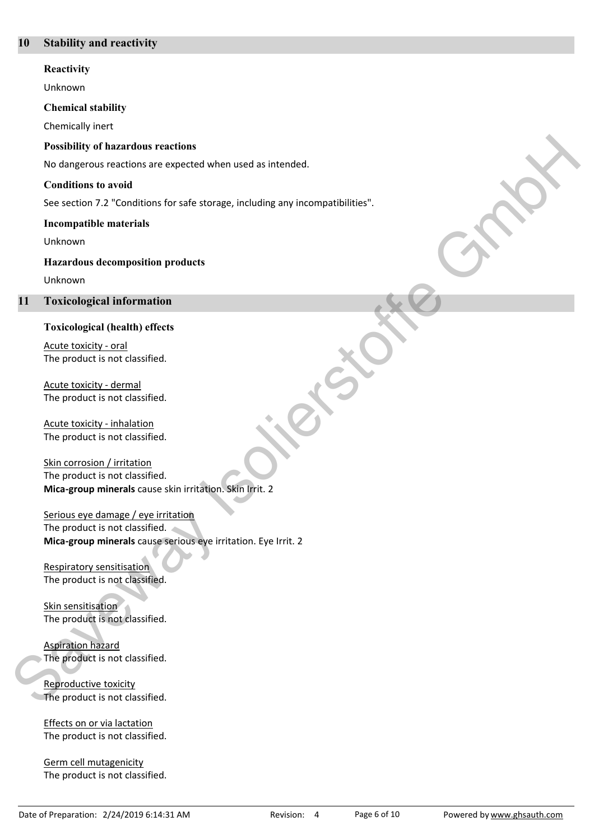#### **Stability and reactivity** 10

#### Reactivity

Unknown

#### **Chemical stability**

Chemically inert

#### **Possibility of hazardous reactions**

No dangerous reactions are expected when used as intended.

#### **Conditions to avoid**

See section 7.2 "Conditions for safe storage, including any incompatibilities".

#### **Incompatible materials**

Unknown

#### **Hazardous decomposition products**

Unknown

#### 11 **Toxicological information**

#### **Toxicological (health) effects**

Acute toxicity - oral The product is not classified.

Acute toxicity - dermal The product is not classified.

Acute toxicity - inhalation The product is not classified.

Skin corrosion / irritation The product is not classified. Mica-group minerals cause skin irritation. Skin Irrit. 2

Serious eye damage / eye irritation The product is not classified. Mica-group minerals cause serious eye irritation. Eye Irrit. 2

**Respiratory sensitisation** The product is not classified.

Skin sensitisation The product is not classified.

**Aspiration hazard** The product is not classified.

Reproductive toxicity The product is not classified.

Effects on or via lactation The product is not classified.

Germ cell mutagenicity The product is not classified.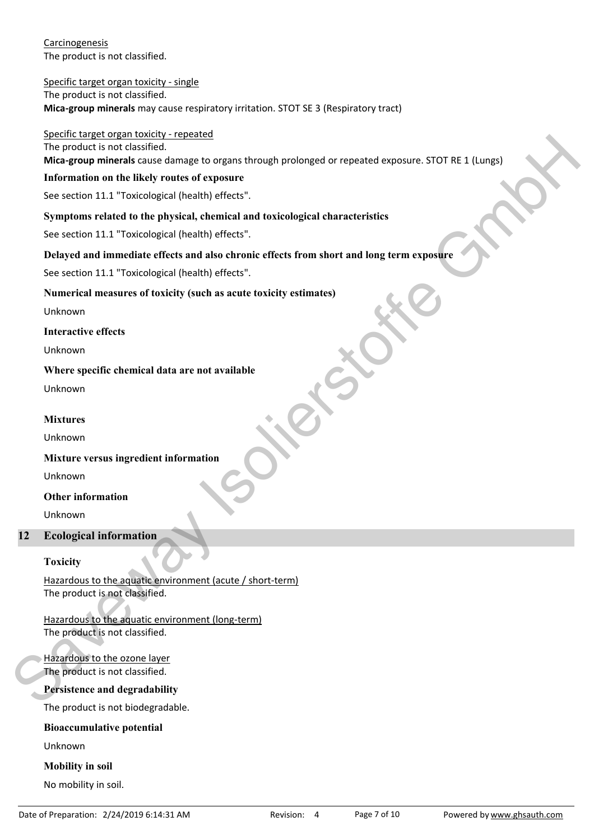Carcinogenesis The product is not classified.

Specific target organ toxicity - single The product is not classified. Mica-group minerals may cause respiratory irritation. STOT SE 3 (Respiratory tract)

Specific target organ toxicity - repeated

The product is not classified.

Mica-group minerals cause damage to organs through prolonged or repeated exposure. STOT RE 1 (Lungs)

#### Information on the likely routes of exposure

See section 11.1 "Toxicological (health) effects".

### Symptoms related to the physical, chemical and toxicological characteristics

See section 11.1 "Toxicological (health) effects".

### Delayed and immediate effects and also chronic effects from short and long term exposure

See section 11.1 "Toxicological (health) effects".

### Numerical measures of toxicity (such as acute toxicity estimates)

Unknown

**Interactive effects** 

Unknown

### Where specific chemical data are not available

Unknown

### **Mixtures**

Unknown

#### Mixture versus ingredient information

Unknown

#### **Other information**

Unknown

#### $12<sub>1</sub>$ **Ecological information**

#### **Toxicity**

Hazardous to the aquatic environment (acute / short-term) The product is not classified.

Hazardous to the aquatic environment (long-term) The product is not classified.

### Hazardous to the ozone layer The product is not classified.

# Persistence and degradability

The product is not biodegradable.

# **Bioaccumulative potential**

Unknown

#### **Mobility** in soil

No mobility in soil.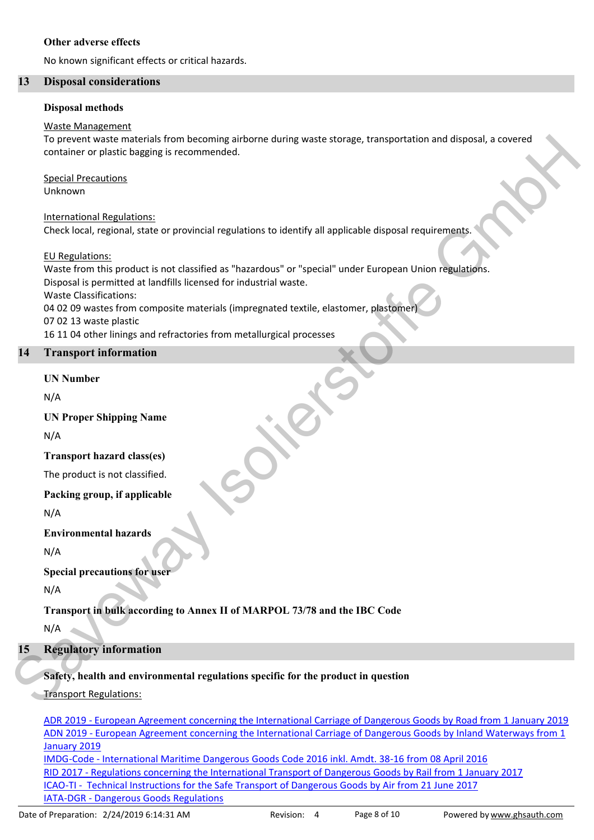#### Other adverse effects

No known significant effects or critical hazards.

#### 13 **Disposal considerations**

#### **Disposal methods**

#### **Waste Management**

To prevent waste materials from becoming airborne during waste storage, transportation and disposal, a covered container or plastic bagging is recommended.

**Special Precautions** Unknown

**International Regulations:** Check local, regional, state or provincial regulations to identify all applicable disposal requirements.

**EU Regulations:** 

Waste from this product is not classified as "hazardous" or "special" under European Union regulations. Disposal is permitted at landfills licensed for industrial waste. **Waste Classifications:** 04 02 09 wastes from composite materials (impregnated textile, elastomer, plastomer 07 02 13 waste plastic 16 11 04 other linings and refractories from metallurgical processes

#### **Transport information** 14

### **IIN Number**

 $N/A$ 

**UN Proper Shipping Name** 

 $N/A$ 

**Transport hazard class(es)** 

The product is not classified.

Packing group, if applicable

 $N/A$ 

**Environmental hazards** 

 $N/A$ 

**Special precautions for user** 

 $N/A$ 

Transport in bulk according to Annex II of MARPOL 73/78 and the IBC Code

 $N/A$ 

#### **Regulatory information** 15

# Safety, health and environmental regulations specific for the product in question

**Transport Regulations:** 

ADR 2019 - European Agreement concerning the International Carriage of Dangerous Goods by Road from 1 January 2019 ADN 2019 - European Agreement concerning the International Carriage of Dangerous Goods by Inland Waterways from 1 January 2019 IMDG-Code - International Maritime Dangerous Goods Code 2016 inkl. Amdt. 38-16 from 08 April 2016 RID 2017 - Regulations concerning the International Transport of Dangerous Goods by Rail from 1 January 2017 ICAO-TI - Technical Instructions for the Safe Transport of Dangerous Goods by Air from 21 June 2017

IATA-DGR - Dangerous Goods Regulations Date of Preparation: 2/24/2019 6:14:31 AM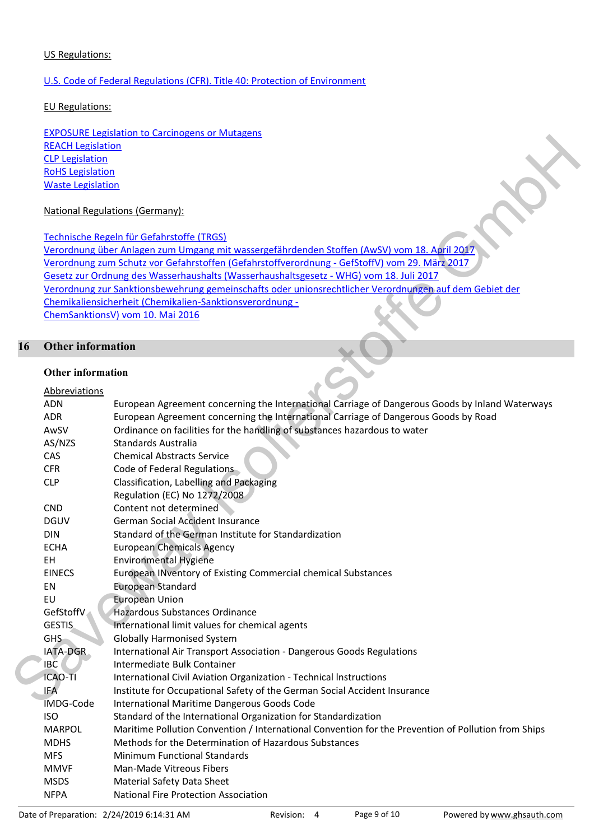#### **US Regulations:**

# U.S. Code of Federal Regulations (CFR). Title 40: Protection of Environment

**EU Regulations:** 

**EXPOSURE Legislation to Carcinogens or Mutagens REACH Legislation CLP Legislation RoHS Legislation Waste Legislation** 

### **National Regulations (Germany):**

Technische Regeln für Gefahrstoffe (TRGS)

Verordnung über Anlagen zum Umgang mit wassergefährdenden Stoffen (AwSV) vom 18. April 2017 Verordnung zum Schutz vor Gefahrstoffen (Gefahrstoffverordnung - GefStoffV) vom 29. März 2017 Gesetz zur Ordnung des Wasserhaushalts (Wasserhaushaltsgesetz - WHG) vom 18. Juli 2017 Verordnung zur Sanktionsbewehrung gemeinschafts oder unionsrechtlicher Verordnungen auf dem Gebiet der Chemikaliensicherheit (Chemikalien-Sanktionsverordnung -ChemSanktionsV) vom 10. Mai 2016

#### 16 **Other information**

#### **Other information**

# Ahhrewistions

| ,,,,,,,,,,,,,,,, |                                                                                                     |
|------------------|-----------------------------------------------------------------------------------------------------|
| <b>ADN</b>       | European Agreement concerning the International Carriage of Dangerous Goods by Inland Waterways     |
| <b>ADR</b>       | European Agreement concerning the International Carriage of Dangerous Goods by Road                 |
| AwSV             | Ordinance on facilities for the handling of substances hazardous to water                           |
| AS/NZS           | <b>Standards Australia</b>                                                                          |
| CAS              | <b>Chemical Abstracts Service</b>                                                                   |
| <b>CFR</b>       | Code of Federal Regulations                                                                         |
| <b>CLP</b>       | Classification, Labelling and Packaging                                                             |
|                  | Regulation (EC) No 1272/2008                                                                        |
| <b>CND</b>       | Content not determined                                                                              |
| <b>DGUV</b>      | <b>German Social Accident Insurance</b>                                                             |
| <b>DIN</b>       | Standard of the German Institute for Standardization                                                |
| <b>ECHA</b>      | <b>European Chemicals Agency</b>                                                                    |
| EH               | <b>Environmental Hygiene</b>                                                                        |
| <b>EINECS</b>    | European INventory of Existing Commercial chemical Substances                                       |
| EN               | <b>European Standard</b>                                                                            |
|                  | <b>European Union</b>                                                                               |
|                  | Hazardous Substances Ordinance                                                                      |
|                  | International limit values for chemical agents                                                      |
|                  | <b>Globally Harmonised System</b>                                                                   |
| IATA-DGR         | International Air Transport Association - Dangerous Goods Regulations                               |
|                  | Intermediate Bulk Container                                                                         |
| <b>ICAO-TI</b>   | International Civil Aviation Organization - Technical Instructions                                  |
| <b>IFA</b>       | Institute for Occupational Safety of the German Social Accident Insurance                           |
|                  | International Maritime Dangerous Goods Code                                                         |
| <b>ISO</b>       | Standard of the International Organization for Standardization                                      |
| <b>MARPOL</b>    | Maritime Pollution Convention / International Convention for the Prevention of Pollution from Ships |
| <b>MDHS</b>      | Methods for the Determination of Hazardous Substances                                               |
| <b>MFS</b>       | <b>Minimum Functional Standards</b>                                                                 |
| <b>MMVF</b>      | Man-Made Vitreous Fibers                                                                            |
| <b>MSDS</b>      | Material Safety Data Sheet                                                                          |
| <b>NFPA</b>      | <b>National Fire Protection Association</b>                                                         |
|                  | EU<br>GefStoffV<br><b>GESTIS</b><br><b>GHS</b><br><b>IBC</b><br><b>IMDG-Code</b>                    |